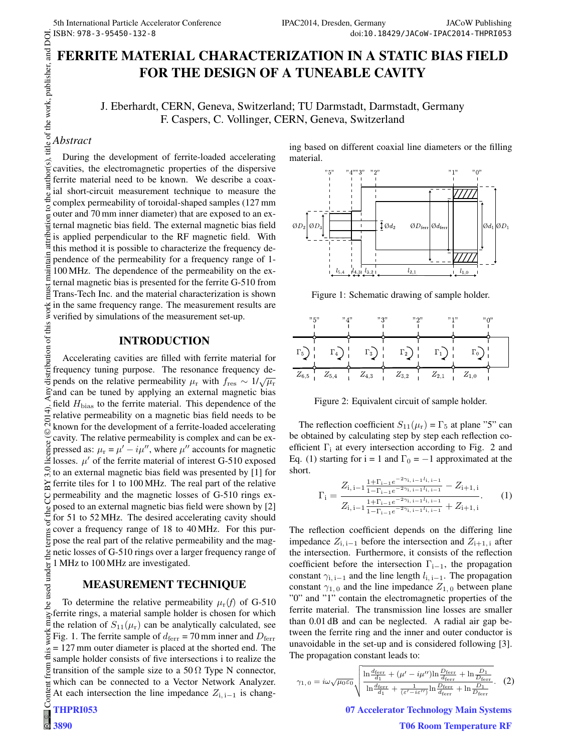# **FERRITE MATERIAL CHARACTERIZATION IN A STATIC BIAS FIELD FOR THE DESIGN OF A TUNEABLE CAVITY**

J. Eberhardt, CERN, Geneva, Switzerland; TU Darmstadt, Darmstadt, Germany F. Caspers, C. Vollinger, CERN, Geneva, Switzerland

### *Abstract*

 $\circ$  2014). Any distribution of this work must maintain attribution to the author(s), title of the work, publisher, and DOI. During the development of ferrite-loaded accelerating cavities, the electromagnetic properties of the dispersive ferrite material need to be known. We describe a coaxial short-circuit measurement technique to measure the complex permeability of toroidal-shaped samples (127 mm outer and 70 mm inner diameter) that are exposed to an external magnetic bias field. The external magnetic bias field is applied perpendicular to the RF magnetic field. With this method it is possible to characterize the frequency deintain pendence of the permeability for a frequency range of 1- 100 MHz. The dependence of the permeability on the ex-.<br>Tai ternal magnetic bias is presented for the ferrite G-510 from nust Trans-Tech Inc. and the material characterization is shown in the same frequency range. The measurement results are verified by simulations of the measurement set-up.

### **INTRODUCTION**

distribution of this work Accelerating cavities are filled with ferrite material for frequency tuning purpose. The resonance frequency depends on the relative permeability  $\mu_{\rm r}$  with  $f_{\rm res} \sim 1/\sqrt{\mu_{\rm r}}$ and can be tuned by applying an external magnetic bias field  $H_{\text{bias}}$  to the ferrite material. This dependence of the relative permeability on a magnetic bias field needs to be 201 known for the development of a ferrite-loaded accelerating ©Content from this work may be used under the terms of the CC BY 3.0 licence ( $\epsilon$ cavity. The relative permeability is complex and can be exlicence pressed as:  $\mu_r = \mu' - i\mu''$ , where  $\mu''$  accounts for magnetic losses.  $\mu'$  of the ferrite material of interest G-510 exposed  $3.0$ to an external magnetic bias field was presented by [1] for Χ ferrite tiles for 1 to 100 MHz. The real part of the relative permeability and the magnetic losses of G-510 rings exposed to an external magnetic bias field were shown by [2] he for 51 to 52 MHz. The desired accelerating cavity should cover a frequency range of 18 to 40 MHz. For this purterm pose the real part of the relative permeability and the mag- $\frac{1}{2}$  netic losses of G-510 rings over a larger frequency range of 1 MHz to 100 MHz are investigated. used under

### **MEASUREMENT TECHNIQUE**

To determine the relative permeability  $\mu_r(f)$  of G-510 ತಿ ferrite rings, a material sample holder is chosen for which may the relation of  $S_{11}(\mu_r)$  can be analytically calculated, see work Fig. 1. The ferrite sample of  $d_{\text{ferr}} = 70$  mm inner and  $D_{\text{ferr}}$ = 127 mm outer diameter is placed at the shorted end. The this sample holder consists of five intersections i to realize the from transition of the sample size to a 50  $\Omega$  Type N connector, which can be connected to a Vector Network Analyzer. Content At each intersection the line impedance  $Z_{i, i-1}$  is chang-

# **THPRI053**

 $\circ$ **3890** ing based on different coaxial line diameters or the filling material.



Figure 1: Schematic drawing of sample holder.



Figure 2: Equivalent circuit of sample holder.

The reflection coefficient  $S_{11}(\mu_r) = \Gamma_5$  at plane "5" can be obtained by calculating step by step each reflection coefficient  $\Gamma_i$  at every intersection according to Fig. 2 and Eq. (1) starting for  $i = 1$  and  $\Gamma_0 = -1$  approximated at the short.

$$
\Gamma_{i} = \frac{Z_{i, i-1} \frac{1 + \Gamma_{i-1} e^{-2\gamma_{i, i-1} I_{i, i-1}}}{Z_{i, i-1} \frac{1 + \Gamma_{i-1} e^{-2\gamma_{i, i-1} I_{i, i-1}}}{1 - \Gamma_{i-1} e^{-2\gamma_{i, i-1} I_{i, i-1}}} + Z_{i+1, i}}.
$$
(1)

The reflection coefficient depends on the differing line impedance  $Z_{i,j-1}$  before the intersection and  $Z_{i+1,j}$  after the intersection. Furthermore, it consists of the reflection coefficient before the intersection  $\Gamma_{i-1}$ , the propagation constant  $\gamma_{i,i-1}$  and the line length  $l_{i,i-1}$ . The propagation constant  $\gamma_{1,0}$  and the line impedance  $Z_{1,0}$  between plane "0" and "1" contain the electromagnetic properties of the ferrite material. The transmission line losses are smaller than 0.01 dB and can be neglected. A radial air gap between the ferrite ring and the inner and outer conductor is unavoidable in the set-up and is considered following [3]. The propagation constant leads to:

$$
\gamma_{1,0} = i\omega \sqrt{\mu_0 \varepsilon_0} \sqrt{\frac{\ln \frac{d_{\text{ferr}}}{d_1} + (\mu' - i\mu'') \ln \frac{D_{\text{ferr}}}{d_{\text{ferr}}}}{\ln \frac{d_{\text{ferr}}}{d_1} + \frac{1}{(\varepsilon' - i\varepsilon'')}\ln \frac{D_{\text{ferr}}}{d_{\text{ferr}}} + \ln \frac{D_1}{D_{\text{ferr}}}}}.
$$
 (2)

**07 Accelerator Technology Main Systems T06 Room Temperature RF**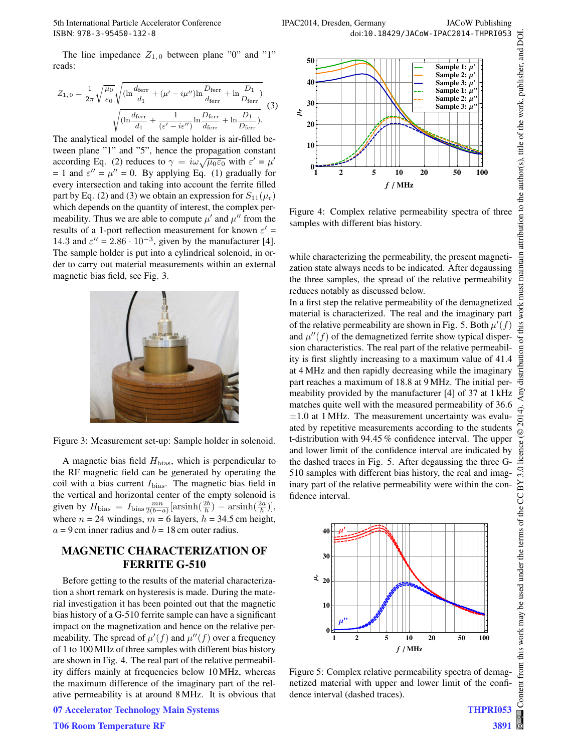The line impedance  $Z_{1,0}$  between plane "0" and "1" reads:

$$
Z_{1,0} = \frac{1}{2\pi} \sqrt{\frac{\mu_0}{\varepsilon_0}} \sqrt{(\ln \frac{d_{\text{ferr}}}{d_1} + (\mu' - i\mu'')\ln \frac{D_{\text{ferr}}}{d_{\text{ferr}}} + \ln \frac{D_1}{D_{\text{ferr}}})}
$$

$$
\sqrt{(\ln \frac{d_{\text{ferr}}}{d_1} + \frac{1}{(\varepsilon' - i\varepsilon'')}\ln \frac{D_{\text{ferr}}}{d_{\text{ferr}}} + \ln \frac{D_1}{D_{\text{ferr}}})}.
$$
(3)

The analytical model of the sample holder is air-filled between plane "1" and "5", hence the propagation constant according Eq. (2) reduces to  $\gamma = i\omega \sqrt{\mu_0 \varepsilon_0}$  with  $\varepsilon' = \mu'$ = 1 and  $\varepsilon'' = \mu'' = 0$ . By applying Eq. (1) gradually for every intersection and taking into account the ferrite filled part by Eq. (2) and (3) we obtain an expression for  $S_{11}(\mu_r)$ which depends on the quantity of interest, the complex permeability. Thus we are able to compute  $\mu'$  and  $\mu''$  from the results of a 1-port reflection measurement for known  $\varepsilon'$  = 14.3 and  $\varepsilon'' = 2.86 \cdot 10^{-3}$ , given by the manufacturer [4]. The sample holder is put into a cylindrical solenoid, in order to carry out material measurements within an external magnetic bias field, see Fig. 3.



Figure 3: Measurement set-up: Sample holder in solenoid.

A magnetic bias field  $H_{\text{bias}}$ , which is perpendicular to the RF magnetic field can be generated by operating the coil with a bias current  $I_{bias}$ . The magnetic bias field in the vertical and horizontal center of the empty solenoid is given by  $H_{\text{bias}} = I_{\text{bias}} \frac{mn}{2(b-a)} [\arcsin(\frac{2b}{h}) - \arcsin(\frac{2a}{h})],$ where  $n = 24$  windings,  $m = 6$  layers,  $h = 34.5$  cm height,  $a = 9$  cm inner radius and  $b = 18$  cm outer radius.

## **MAGNETIC CHARACTERIZATION OF FERRITE G-510**

Before getting to the results of the material characterization a short remark on hysteresis is made. During the material investigation it has been pointed out that the magnetic bias history of a G-510 ferrite sample can have a significant impact on the magnetization and hence on the relative permeability. The spread of  $\mu'(f)$  and  $\mu''(f)$  over a frequency of 1 to 100 MHz of three samples with different bias history are shown in Fig. 4. The real part of the relative permeability differs mainly at frequencies below 10 MHz, whereas the maximum difference of the imaginary part of the relative permeability is at around 8 MHz. It is obvious that



Figure 4: Complex relative permeability spectra of three samples with different bias history.

while characterizing the permeability, the present magnetization state always needs to be indicated. After degaussing the three samples, the spread of the relative permeability reduces notably as discussed below.

In a first step the relative permeability of the demagnetized material is characterized. The real and the imaginary part of the relative permeability are shown in Fig. 5. Both  $\mu'(f)$ and  $\mu''(f)$  of the demagnetized ferrite show typical dispersion characteristics. The real part of the relative permeability is first slightly increasing to a maximum value of 41.4 at 4 MHz and then rapidly decreasing while the imaginary part reaches a maximum of 18.8 at 9 MHz. The initial permeability provided by the manufacturer [4] of 37 at 1 kHz matches quite well with the measured permeability of 36.6  $\pm 1.0$  at 1 MHz. The measurement uncertainty was evaluated by repetitive measurements according to the students t-distribution with 94.45 % confidence interval. The upper and lower limit of the confidence interval are indicated by the dashed traces in Fig. 5. After degaussing the three G-510 samples with different bias history, the real and imaginary part of the relative permeability were within the confidence interval.



Figure 5: Complex relative permeability spectra of demagnetized material with upper and lower limit of the confidence interval (dashed traces).

**07 Accelerator Technology Main Systems**

Content from this work may be used under the terms of the CC BY 3.0 licence ( $@$ 

this work may be used under the terms of the CC BY

Content from

licence (©

 $3.0$ 

2014).

2014). Any distribution of this work must maintain attribution to the author(s), title of the work, publisher, and DOI.

work must

this

bution of

distril

maintain attribution to the author(s), title of the work, publisher, and DOI.